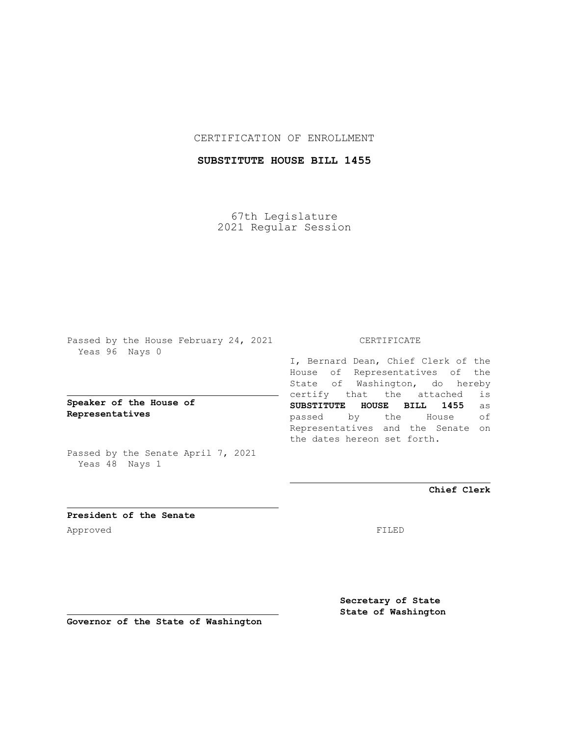## CERTIFICATION OF ENROLLMENT

## **SUBSTITUTE HOUSE BILL 1455**

67th Legislature 2021 Regular Session

Passed by the House February 24, 2021 Yeas 96 Nays 0

**Speaker of the House of Representatives**

Passed by the Senate April 7, 2021 Yeas 48 Nays 1

## CERTIFICATE

I, Bernard Dean, Chief Clerk of the House of Representatives of the State of Washington, do hereby certify that the attached is **SUBSTITUTE HOUSE BILL 1455** as passed by the House of Representatives and the Senate on the dates hereon set forth.

**Chief Clerk**

**President of the Senate** Approved FILED

**Secretary of State State of Washington**

**Governor of the State of Washington**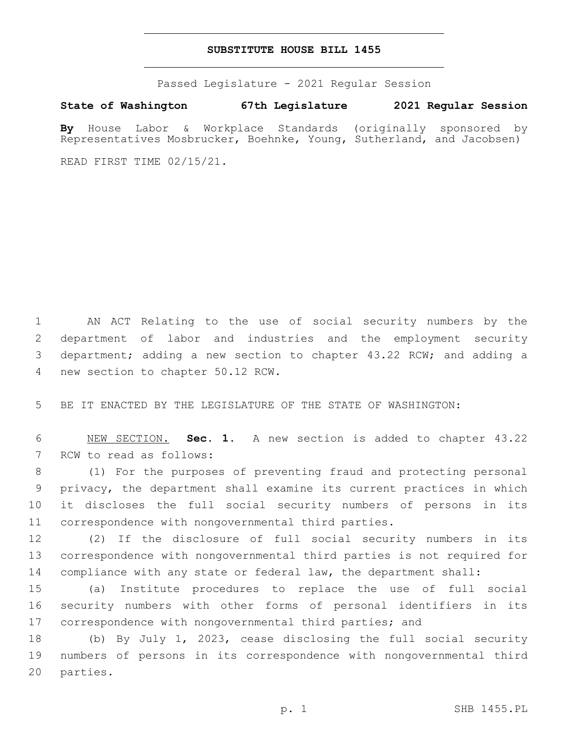## **SUBSTITUTE HOUSE BILL 1455**

Passed Legislature - 2021 Regular Session

**State of Washington 67th Legislature 2021 Regular Session**

**By** House Labor & Workplace Standards (originally sponsored by Representatives Mosbrucker, Boehnke, Young, Sutherland, and Jacobsen)

READ FIRST TIME 02/15/21.

 AN ACT Relating to the use of social security numbers by the department of labor and industries and the employment security department; adding a new section to chapter 43.22 RCW; and adding a 4 new section to chapter 50.12 RCW.

5 BE IT ENACTED BY THE LEGISLATURE OF THE STATE OF WASHINGTON:

6 NEW SECTION. **Sec. 1.** A new section is added to chapter 43.22 7 RCW to read as follows:

 (1) For the purposes of preventing fraud and protecting personal privacy, the department shall examine its current practices in which it discloses the full social security numbers of persons in its correspondence with nongovernmental third parties.

12 (2) If the disclosure of full social security numbers in its 13 correspondence with nongovernmental third parties is not required for 14 compliance with any state or federal law, the department shall:

15 (a) Institute procedures to replace the use of full social 16 security numbers with other forms of personal identifiers in its 17 correspondence with nongovernmental third parties; and

18 (b) By July 1, 2023, cease disclosing the full social security 19 numbers of persons in its correspondence with nongovernmental third 20 parties.